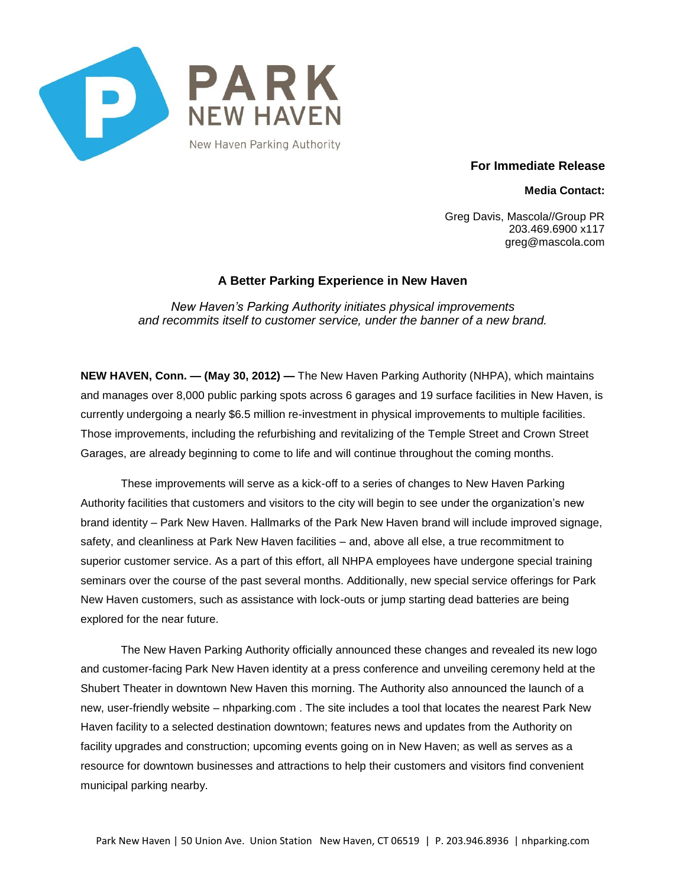

**For Immediate Release**

**Media Contact:**

Greg Davis, Mascola//Group PR 203.469.6900 x117 greg@mascola.com

## **A Better Parking Experience in New Haven**

*New Haven's Parking Authority initiates physical improvements and recommits itself to customer service, under the banner of a new brand.*

**NEW HAVEN, Conn. — (May 30, 2012) —** The New Haven Parking Authority (NHPA), which maintains and manages over 8,000 public parking spots across 6 garages and 19 surface facilities in New Haven, is currently undergoing a nearly \$6.5 million re-investment in physical improvements to multiple facilities. Those improvements, including the refurbishing and revitalizing of the Temple Street and Crown Street Garages, are already beginning to come to life and will continue throughout the coming months.

These improvements will serve as a kick-off to a series of changes to New Haven Parking Authority facilities that customers and visitors to the city will begin to see under the organization's new brand identity – Park New Haven. Hallmarks of the Park New Haven brand will include improved signage, safety, and cleanliness at Park New Haven facilities – and, above all else, a true recommitment to superior customer service. As a part of this effort, all NHPA employees have undergone special training seminars over the course of the past several months. Additionally, new special service offerings for Park New Haven customers, such as assistance with lock-outs or jump starting dead batteries are being explored for the near future.

The New Haven Parking Authority officially announced these changes and revealed its new logo and customer-facing Park New Haven identity at a press conference and unveiling ceremony held at the Shubert Theater in downtown New Haven this morning. The Authority also announced the launch of a new, user-friendly website – nhparking.com . The site includes a tool that locates the nearest Park New Haven facility to a selected destination downtown; features news and updates from the Authority on facility upgrades and construction; upcoming events going on in New Haven; as well as serves as a resource for downtown businesses and attractions to help their customers and visitors find convenient municipal parking nearby.